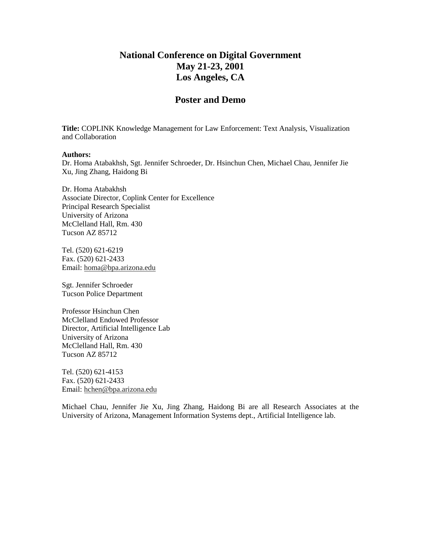# **National Conference on Digital Government May 21-23, 2001 Los Angeles, CA**

## **Poster and Demo**

**Title:** COPLINK Knowledge Management for Law Enforcement: Text Analysis, Visualization and Collaboration

#### **Authors:**

Dr. Homa Atabakhsh, Sgt. Jennifer Schroeder, Dr. Hsinchun Chen, Michael Chau, Jennifer Jie Xu, Jing Zhang, Haidong Bi

Dr. Homa Atabakhsh Associate Director, Coplink Center for Excellence Principal Research Specialist University of Arizona McClelland Hall, Rm. 430 Tucson AZ 85712

Tel. (520) 621-6219 Fax. (520) 621-2433 Email: homa@bpa.arizona.edu

Sgt. Jennifer Schroeder Tucson Police Department

Professor Hsinchun Chen McClelland Endowed Professor Director, Artificial Intelligence Lab University of Arizona McClelland Hall, Rm. 430 Tucson AZ 85712

Tel. (520) 621-4153 Fax. (520) 621-2433 Email: hchen@bpa.arizona.edu

Michael Chau, Jennifer Jie Xu, Jing Zhang, Haidong Bi are all Research Associates at the University of Arizona, Management Information Systems dept., Artificial Intelligence lab.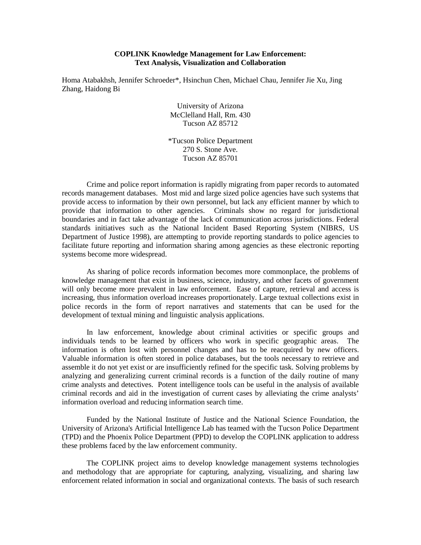#### **COPLINK Knowledge Management for Law Enforcement: Text Analysis, Visualization and Collaboration**

Homa Atabakhsh, Jennifer Schroeder\*, Hsinchun Chen, Michael Chau, Jennifer Jie Xu, Jing Zhang, Haidong Bi

> University of Arizona McClelland Hall, Rm. 430 Tucson AZ 85712

\*Tucson Police Department 270 S. Stone Ave. Tucson AZ 85701

Crime and police report information is rapidly migrating from paper records to automated records management databases. Most mid and large sized police agencies have such systems that provide access to information by their own personnel, but lack any efficient manner by which to provide that information to other agencies. Criminals show no regard for jurisdictional boundaries and in fact take advantage of the lack of communication across jurisdictions. Federal standards initiatives such as the National Incident Based Reporting System (NIBRS, US Department of Justice 1998), are attempting to provide reporting standards to police agencies to facilitate future reporting and information sharing among agencies as these electronic reporting systems become more widespread.

As sharing of police records information becomes more commonplace, the problems of knowledge management that exist in business, science, industry, and other facets of government will only become more prevalent in law enforcement. Ease of capture, retrieval and access is increasing, thus information overload increases proportionately. Large textual collections exist in police records in the form of report narratives and statements that can be used for the development of textual mining and linguistic analysis applications.

In law enforcement, knowledge about criminal activities or specific groups and individuals tends to be learned by officers who work in specific geographic areas. The information is often lost with personnel changes and has to be reacquired by new officers. Valuable information is often stored in police databases, but the tools necessary to retrieve and assemble it do not yet exist or are insufficiently refined for the specific task. Solving problems by analyzing and generalizing current criminal records is a function of the daily routine of many crime analysts and detectives. Potent intelligence tools can be useful in the analysis of available criminal records and aid in the investigation of current cases by alleviating the crime analysts' information overload and reducing information search time.

Funded by the National Institute of Justice and the National Science Foundation, the University of Arizona's Artificial Intelligence Lab has teamed with the Tucson Police Department (TPD) and the Phoenix Police Department (PPD) to develop the COPLINK application to address these problems faced by the law enforcement community.

The COPLINK project aims to develop knowledge management systems technologies and methodology that are appropriate for capturing, analyzing, visualizing, and sharing law enforcement related information in social and organizational contexts. The basis of such research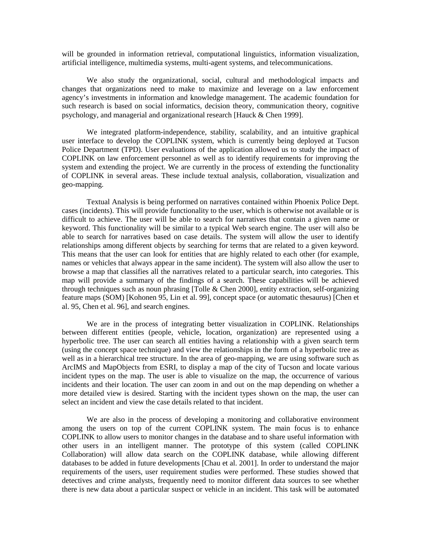will be grounded in information retrieval, computational linguistics, information visualization, artificial intelligence, multimedia systems, multi-agent systems, and telecommunications.

We also study the organizational, social, cultural and methodological impacts and changes that organizations need to make to maximize and leverage on a law enforcement agency's investments in information and knowledge management. The academic foundation for such research is based on social informatics, decision theory, communication theory, cognitive psychology, and managerial and organizational research [Hauck & Chen 1999].

We integrated platform-independence, stability, scalability, and an intuitive graphical user interface to develop the COPLINK system, which is currently being deployed at Tucson Police Department (TPD). User evaluations of the application allowed us to study the impact of COPLINK on law enforcement personnel as well as to identify requirements for improving the system and extending the project. We are currently in the process of extending the functionality of COPLINK in several areas. These include textual analysis, collaboration, visualization and geo-mapping.

Textual Analysis is being performed on narratives contained within Phoenix Police Dept. cases (incidents). This will provide functionality to the user, which is otherwise not available or is difficult to achieve. The user will be able to search for narratives that contain a given name or keyword. This functionality will be similar to a typical Web search engine. The user will also be able to search for narratives based on case details. The system will allow the user to identify relationships among different objects by searching for terms that are related to a given keyword. This means that the user can look for entities that are highly related to each other (for example, names or vehicles that always appear in the same incident). The system will also allow the user to browse a map that classifies all the narratives related to a particular search, into categories. This map will provide a summary of the findings of a search. These capabilities will be achieved through techniques such as noun phrasing [Tolle  $&$  Chen 2000], entity extraction, self-organizing feature maps (SOM) [Kohonen 95, Lin et al. 99], concept space (or automatic thesaurus) [Chen et al. 95, Chen et al. 96], and search engines.

We are in the process of integrating better visualization in COPLINK. Relationships between different entities (people, vehicle, location, organization) are represented using a hyperbolic tree. The user can search all entities having a relationship with a given search term (using the concept space technique) and view the relationships in the form of a hyperbolic tree as well as in a hierarchical tree structure. In the area of geo-mapping, we are using software such as ArcIMS and MapObjects from ESRI, to display a map of the city of Tucson and locate various incident types on the map. The user is able to visualize on the map, the occurrence of various incidents and their location. The user can zoom in and out on the map depending on whether a more detailed view is desired. Starting with the incident types shown on the map, the user can select an incident and view the case details related to that incident.

We are also in the process of developing a monitoring and collaborative environment among the users on top of the current COPLINK system. The main focus is to enhance COPLINK to allow users to monitor changes in the database and to share useful information with other users in an intelligent manner. The prototype of this system (called COPLINK Collaboration) will allow data search on the COPLINK database, while allowing different databases to be added in future developments [Chau et al. 2001]. In order to understand the major requirements of the users, user requirement studies were performed. These studies showed that detectives and crime analysts, frequently need to monitor different data sources to see whether there is new data about a particular suspect or vehicle in an incident. This task will be automated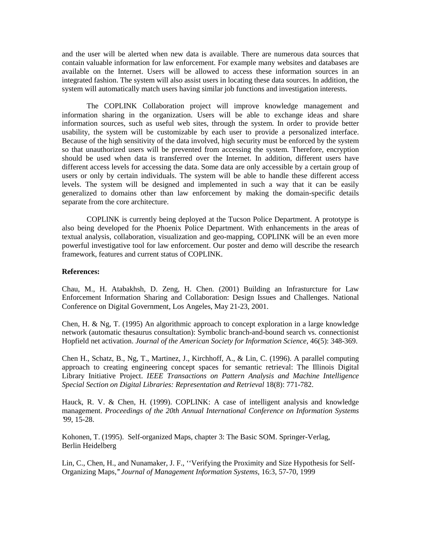and the user will be alerted when new data is available. There are numerous data sources that contain valuable information for law enforcement. For example many websites and databases are available on the Internet. Users will be allowed to access these information sources in an integrated fashion. The system will also assist users in locating these data sources. In addition, the system will automatically match users having similar job functions and investigation interests.

The COPLINK Collaboration project will improve knowledge management and information sharing in the organization. Users will be able to exchange ideas and share information sources, such as useful web sites, through the system. In order to provide better usability, the system will be customizable by each user to provide a personalized interface. Because of the high sensitivity of the data involved, high security must be enforced by the system so that unauthorized users will be prevented from accessing the system. Therefore, encryption should be used when data is transferred over the Internet. In addition, different users have different access levels for accessing the data. Some data are only accessible by a certain group of users or only by certain individuals. The system will be able to handle these different access levels. The system will be designed and implemented in such a way that it can be easily generalized to domains other than law enforcement by making the domain-specific details separate from the core architecture.

COPLINK is currently being deployed at the Tucson Police Department. A prototype is also being developed for the Phoenix Police Department. With enhancements in the areas of textual analysis, collaboration, visualization and geo-mapping, COPLINK will be an even more powerful investigative tool for law enforcement. Our poster and demo will describe the research framework, features and current status of COPLINK.

#### **References:**

Chau, M., H. Atabakhsh, D. Zeng, H. Chen. (2001) Building an Infrasturcture for Law Enforcement Information Sharing and Collaboration: Design Issues and Challenges. National Conference on Digital Government, Los Angeles, May 21-23, 2001.

Chen, H. & Ng, T. (1995) An algorithmic approach to concept exploration in a large knowledge network (automatic thesaurus consultation): Symbolic branch-and-bound search vs. connectionist Hopfield net activation. *Journal of the American Society for Information Science*, 46(5): 348-369.

Chen H., Schatz, B., Ng, T., Martinez, J., Kirchhoff, A., & Lin, C. (1996). A parallel computing approach to creating engineering concept spaces for semantic retrieval: The Illinois Digital Library Initiative Project. *IEEE Transactions on Pattern Analysis and Machine Intelligence Special Section on Digital Libraries: Representation and Retrieval* 18(8): 771-782.

Hauck, R. V. & Chen, H. (1999). COPLINK: A case of intelligent analysis and knowledge management. *Proceedings of the 20th Annual International Conference on Information Systems '99*, 15-28.

Kohonen, T. (1995). Self-organized Maps, chapter 3: The Basic SOM. Springer-Verlag, Berlin Heidelberg

Lin, C., Chen, H., and Nunamaker, J. F., ''Verifying the Proximity and Size Hypothesis for Self-Organizing Maps,''*Journal of Management Information Systems*, 16:3, 57-70, 1999